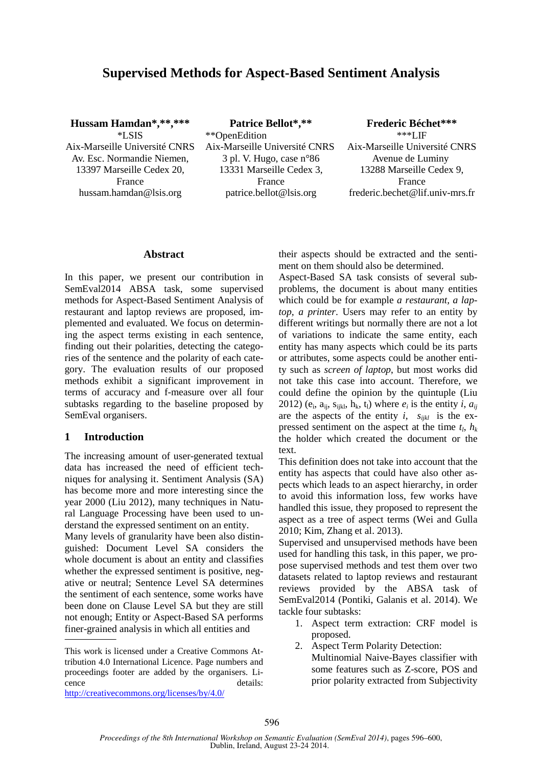# **Supervised Methods for Aspect-Based Sentiment Analysis**

**Hussam Hamdan\*,\*\*,\*\*\***  \*LSIS Aix-Marseille Université CNRS Av. Esc. Normandie Niemen, 13397 Marseille Cedex 20, France hussam.hamdan@lsis.org

**Patrice Bellot\*,\*\***  \*\*OpenEdition Aix-Marseille Université CNRS 3 pl. V. Hugo, case n°86 13331 Marseille Cedex 3, France patrice.bellot@lsis.org

**Frederic Béchet\*\*\***  $***$ LIF Aix-Marseille Université CNRS Avenue de Luminy 13288 Marseille Cedex 9, France frederic.bechet@lif.univ-mrs.fr

#### **Abstract**

In this paper, we present our contribution in SemEval2014 ABSA task, some supervised methods for Aspect-Based Sentiment Analysis of restaurant and laptop reviews are proposed, implemented and evaluated. We focus on determining the aspect terms existing in each sentence, finding out their polarities, detecting the categories of the sentence and the polarity of each category. The evaluation results of our proposed methods exhibit a significant improvement in terms of accuracy and f-measure over all four subtasks regarding to the baseline proposed by SemEval organisers.

## **1 Introduction**

The increasing amount of user-generated textual data has increased the need of efficient techniques for analysing it. Sentiment Analysis (SA) has become more and more interesting since the year 2000 (Liu 2012), many techniques in Natural Language Processing have been used to understand the expressed sentiment on an entity. Many levels of granularity have been also distinguished: Document Level SA considers the whole document is about an entity and classifies whether the expressed sentiment is positive, negative or neutral; Sentence Level SA determines the sentiment of each sentence, some works have been done on Clause Level SA but they are still not enough; Entity or Aspect-Based SA performs finer-grained analysis in which all entities and

This work is licensed under a Creative Commons Attribution 4.0 International Licence. Page numbers and proceedings footer are added by the organisers. Licence details:

http://creativecommons.org/licenses/by/4.0/

their aspects should be extracted and the sentiment on them should also be determined.

Aspect-Based SA task consists of several subproblems, the document is about many entities which could be for example *a restaurant, a laptop, a printer*. Users may refer to an entity by different writings but normally there are not a lot of variations to indicate the same entity, each entity has many aspects which could be its parts or attributes, some aspects could be another entity such as *screen of laptop*, but most works did not take this case into account. Therefore, we could define the opinion by the quintuple (Liu 2012) ( $e_i$ ,  $a_{ij}$ ,  $s_{ijkl}$ ,  $h_k$ ,  $t_l$ ) where  $e_i$  is the entity *i*,  $a_{ij}$ are the aspects of the entity  $i$ ,  $s_{ijkl}$  is the expressed sentiment on the aspect at the time  $t_l$ ,  $h_k$ the holder which created the document or the text.

This definition does not take into account that the entity has aspects that could have also other aspects which leads to an aspect hierarchy, in order to avoid this information loss, few works have handled this issue, they proposed to represent the aspect as a tree of aspect terms (Wei and Gulla 2010; Kim, Zhang et al. 2013).

Supervised and unsupervised methods have been used for handling this task, in this paper, we propose supervised methods and test them over two datasets related to laptop reviews and restaurant reviews provided by the ABSA task of SemEval2014 (Pontiki, Galanis et al. 2014). We tackle four subtasks:

- 1. Aspect term extraction: CRF model is proposed.
- 2. Aspect Term Polarity Detection: Multinomial Naive-Bayes classifier with some features such as Z-score, POS and prior polarity extracted from Subjectivity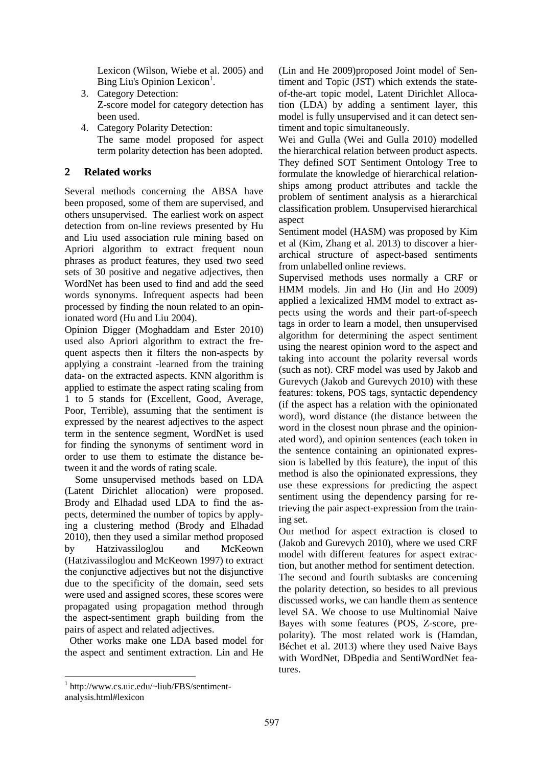Lexicon (Wilson, Wiebe et al. 2005) and Bing Liu's Opinion Lexicon<sup>1</sup>.

- 3. Category Detection: Z-score model for category detection has been used.
- 4. Category Polarity Detection: The same model proposed for aspect term polarity detection has been adopted.

## **2 Related works**

Several methods concerning the ABSA have been proposed, some of them are supervised, and others unsupervised. The earliest work on aspect detection from on-line reviews presented by Hu and Liu used association rule mining based on Apriori algorithm to extract frequent noun phrases as product features, they used two seed sets of 30 positive and negative adjectives, then WordNet has been used to find and add the seed words synonyms. Infrequent aspects had been processed by finding the noun related to an opinionated word (Hu and Liu 2004).

Opinion Digger (Moghaddam and Ester 2010) used also Apriori algorithm to extract the frequent aspects then it filters the non-aspects by applying a constraint -learned from the training data- on the extracted aspects. KNN algorithm is applied to estimate the aspect rating scaling from 1 to 5 stands for (Excellent, Good, Average, Poor, Terrible), assuming that the sentiment is expressed by the nearest adjectives to the aspect term in the sentence segment, WordNet is used for finding the synonyms of sentiment word in order to use them to estimate the distance between it and the words of rating scale.

Some unsupervised methods based on LDA (Latent Dirichlet allocation) were proposed. Brody and Elhadad used LDA to find the aspects, determined the number of topics by applying a clustering method (Brody and Elhadad 2010), then they used a similar method proposed by Hatzivassiloglou and McKeown (Hatzivassiloglou and McKeown 1997) to extract the conjunctive adjectives but not the disjunctive due to the specificity of the domain, seed sets were used and assigned scores, these scores were propagated using propagation method through the aspect-sentiment graph building from the pairs of aspect and related adjectives.

 Other works make one LDA based model for the aspect and sentiment extraction. Lin and He

(Lin and He 2009)proposed Joint model of Sentiment and Topic (JST) which extends the stateof-the-art topic model, Latent Dirichlet Allocation (LDA) by adding a sentiment layer, this model is fully unsupervised and it can detect sentiment and topic simultaneously.

Wei and Gulla (Wei and Gulla 2010) modelled the hierarchical relation between product aspects. They defined SOT Sentiment Ontology Tree to formulate the knowledge of hierarchical relationships among product attributes and tackle the problem of sentiment analysis as a hierarchical classification problem. Unsupervised hierarchical aspect

Sentiment model (HASM) was proposed by Kim et al (Kim, Zhang et al. 2013) to discover a hierarchical structure of aspect-based sentiments from unlabelled online reviews.

Supervised methods uses normally a CRF or HMM models. Jin and Ho (Jin and Ho 2009) applied a lexicalized HMM model to extract aspects using the words and their part-of-speech tags in order to learn a model, then unsupervised algorithm for determining the aspect sentiment using the nearest opinion word to the aspect and taking into account the polarity reversal words (such as not). CRF model was used by Jakob and Gurevych (Jakob and Gurevych 2010) with these features: tokens, POS tags, syntactic dependency (if the aspect has a relation with the opinionated word), word distance (the distance between the word in the closest noun phrase and the opinionated word), and opinion sentences (each token in the sentence containing an opinionated expression is labelled by this feature), the input of this method is also the opinionated expressions, they use these expressions for predicting the aspect sentiment using the dependency parsing for retrieving the pair aspect-expression from the training set.

Our method for aspect extraction is closed to (Jakob and Gurevych 2010), where we used CRF model with different features for aspect extraction, but another method for sentiment detection.

The second and fourth subtasks are concerning the polarity detection, so besides to all previous discussed works, we can handle them as sentence level SA. We choose to use Multinomial Naive Bayes with some features (POS, Z-score, prepolarity). The most related work is (Hamdan, Béchet et al. 2013) where they used Naive Bays with WordNet, DBpedia and SentiWordNet features.

<sup>1</sup> http://www.cs.uic.edu/~liub/FBS/sentimentanalysis.html#lexicon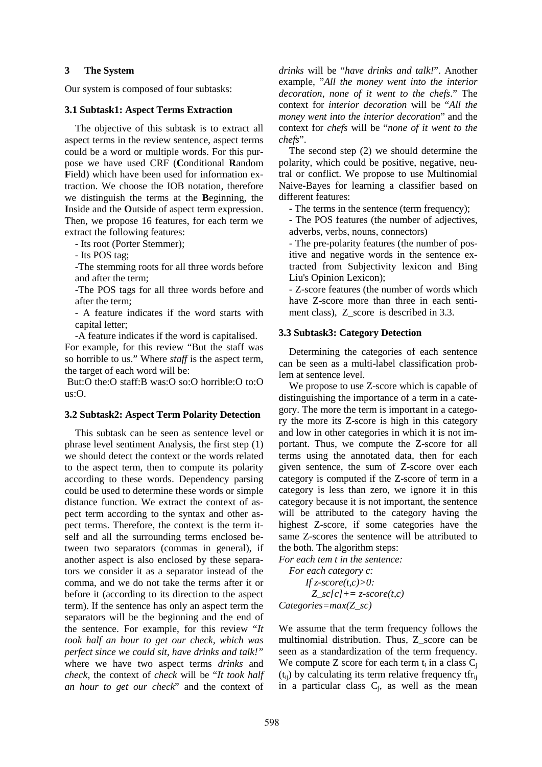## **3 The System**

Our system is composed of four subtasks:

#### **3.1 Subtask1: Aspect Terms Extraction**

The objective of this subtask is to extract all aspect terms in the review sentence, aspect terms could be a word or multiple words. For this purpose we have used CRF (**C**onditional **R**andom Field) which have been used for information extraction. We choose the IOB notation, therefore we distinguish the terms at the **B**eginning, the **I**nside and the **O**utside of aspect term expression. Then, we propose 16 features, for each term we extract the following features:

- Its root (Porter Stemmer);

- Its POS tag;

-The stemming roots for all three words before and after the term;

-The POS tags for all three words before and after the term;

- A feature indicates if the word starts with capital letter;

-A feature indicates if the word is capitalised.

For example, for this review "But the staff was so horrible to us." Where *staff* is the aspect term, the target of each word will be:

 But:O the:O staff:B was:O so:O horrible:O to:O us:O.

#### **3.2 Subtask2: Aspect Term Polarity Detection**

This subtask can be seen as sentence level or phrase level sentiment Analysis, the first step (1) we should detect the context or the words related to the aspect term, then to compute its polarity according to these words. Dependency parsing could be used to determine these words or simple distance function. We extract the context of aspect term according to the syntax and other aspect terms. Therefore, the context is the term itself and all the surrounding terms enclosed between two separators (commas in general), if another aspect is also enclosed by these separators we consider it as a separator instead of the comma, and we do not take the terms after it or before it (according to its direction to the aspect term). If the sentence has only an aspect term the separators will be the beginning and the end of the sentence. For example, for this review "*It took half an hour to get our check, which was perfect since we could sit, have drinks and talk!"* where we have two aspect terms *drinks* and *check*, the context of *check* will be "*It took half an hour to get our check*" and the context of *drinks* will be "*have drinks and talk!*". Another example, "*All the money went into the interior decoration, none of it went to the chefs*." The context for *interior decoration* will be "*All the money went into the interior decoration*" and the context for *chefs* will be "*none of it went to the chefs*".

The second step (2) we should determine the polarity, which could be positive, negative, neutral or conflict. We propose to use Multinomial Naive-Bayes for learning a classifier based on different features:

- The terms in the sentence (term frequency);

- The POS features (the number of adjectives, adverbs, verbs, nouns, connectors)

- The pre-polarity features (the number of positive and negative words in the sentence extracted from Subjectivity lexicon and Bing Liu's Opinion Lexicon);

- Z-score features (the number of words which have Z-score more than three in each sentiment class), Z\_score is described in 3.3.

## **3.3 Subtask3: Category Detection**

Determining the categories of each sentence can be seen as a multi-label classification problem at sentence level.

We propose to use Z-score which is capable of distinguishing the importance of a term in a category. The more the term is important in a category the more its Z-score is high in this category and low in other categories in which it is not important. Thus, we compute the Z-score for all terms using the annotated data, then for each given sentence, the sum of Z-score over each category is computed if the Z-score of term in a category is less than zero, we ignore it in this category because it is not important, the sentence will be attributed to the category having the highest Z-score, if some categories have the same Z-scores the sentence will be attributed to the both. The algorithm steps:

*For each tem t in the sentence: For each category c: If z-score(t,c)>0: Z\_sc[c]+= z-score(t,c) Categories=max(Z\_sc)* 

We assume that the term frequency follows the multinomial distribution. Thus, Z\_score can be seen as a standardization of the term frequency. We compute Z score for each term  $t_i$  in a class  $C_j$  $(t_{ii})$  by calculating its term relative frequency tfr<sub>ii</sub> in a particular class  $C_j$ , as well as the mean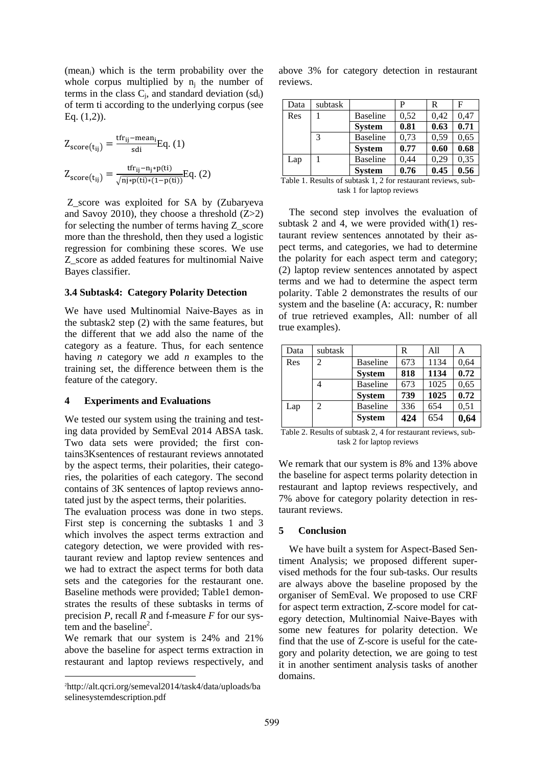$(mean<sub>i</sub>)$  which is the term probability over the whole corpus multiplied by  $n_j$  the number of terms in the class  $C_j$ , and standard deviation  $(sd_i)$ of term ti according to the underlying corpus (see Eq. (1,2)).

$$
Z_{score(t_{ij})} = \frac{tfr_{ij} - mean_i}{sdi} Eq. (1)
$$

$$
Z_{score(t_{ij})} = \frac{tfr_{ij} - n_j * p(t)}{\sqrt{n_j * p(t_j) * (1 - p(t))}} Eq. (2)
$$

 Z\_score was exploited for SA by (Zubaryeva and Savoy 2010), they choose a threshold  $(Z>2)$ for selecting the number of terms having  $Z$  score more than the threshold, then they used a logistic regression for combining these scores. We use Z\_score as added features for multinomial Naive Bayes classifier.

#### **3.4 Subtask4: Category Polarity Detection**

We have used Multinomial Naive-Bayes as in the subtask2 step (2) with the same features, but the different that we add also the name of the category as a feature. Thus, for each sentence having *n* category we add *n* examples to the training set, the difference between them is the feature of the category.

#### **4 Experiments and Evaluations**

We tested our system using the training and testing data provided by SemEval 2014 ABSA task. Two data sets were provided; the first contains3Ksentences of restaurant reviews annotated by the aspect terms, their polarities, their categories, the polarities of each category. The second contains of 3K sentences of laptop reviews annotated just by the aspect terms, their polarities.

The evaluation process was done in two steps. First step is concerning the subtasks 1 and 3 which involves the aspect terms extraction and category detection, we were provided with restaurant review and laptop review sentences and we had to extract the aspect terms for both data sets and the categories for the restaurant one. Baseline methods were provided; Table1 demonstrates the results of these subtasks in terms of precision *P*, recall *R* and f-measure *F* for our sys- $\epsilon$  tem and the baseline<sup>2</sup>.

We remark that our system is 24% and 21% above the baseline for aspect terms extraction in restaurant and laptop reviews respectively, and

above 3% for category detection in restaurant reviews.

| Data | subtask |                 | P    | R    | F    |
|------|---------|-----------------|------|------|------|
| Res  |         | <b>Baseline</b> | 0,52 | 0,42 | 0,47 |
|      |         | <b>System</b>   | 0.81 | 0.63 | 0.71 |
|      | 3       | <b>Baseline</b> | 0,73 | 0,59 | 0,65 |
|      |         | <b>System</b>   | 0.77 | 0.60 | 0.68 |
| Lap  |         | Baseline        | 0,44 | 0.29 | 0,35 |
|      |         | <b>System</b>   | 0.76 | 0.45 | 0.56 |

Table 1. Results of subtask 1, 2 for restaurant reviews, subtask 1 for laptop reviews

The second step involves the evaluation of subtask 2 and 4, we were provided with(1) restaurant review sentences annotated by their aspect terms, and categories, we had to determine the polarity for each aspect term and category; (2) laptop review sentences annotated by aspect terms and we had to determine the aspect term polarity. Table 2 demonstrates the results of our system and the baseline (A: accuracy, R: number of true retrieved examples, All: number of all true examples).

| Data | subtask |                 | R   | All  | А    |
|------|---------|-----------------|-----|------|------|
| Res  | 2       | <b>Baseline</b> | 673 | 1134 | 0,64 |
|      |         | <b>System</b>   | 818 | 1134 | 0.72 |
|      |         | <b>Baseline</b> | 673 | 1025 | 0,65 |
|      |         | <b>System</b>   | 739 | 1025 | 0.72 |
| Lap  | 2       | <b>Baseline</b> | 336 | 654  | 0,51 |
|      |         | <b>System</b>   | 424 | 654  | 0,64 |

Table 2. Results of subtask 2, 4 for restaurant reviews, subtask 2 for laptop reviews

We remark that our system is 8% and 13% above the baseline for aspect terms polarity detection in restaurant and laptop reviews respectively, and 7% above for category polarity detection in restaurant reviews.

#### **5 Conclusion**

We have built a system for Aspect-Based Sentiment Analysis; we proposed different supervised methods for the four sub-tasks. Our results are always above the baseline proposed by the organiser of SemEval. We proposed to use CRF for aspect term extraction, Z-score model for category detection, Multinomial Naive-Bayes with some new features for polarity detection. We find that the use of Z-score is useful for the category and polarity detection, we are going to test it in another sentiment analysis tasks of another domains.

<sup>2</sup>http://alt.qcri.org/semeval2014/task4/data/uploads/ba selinesystemdescription.pdf